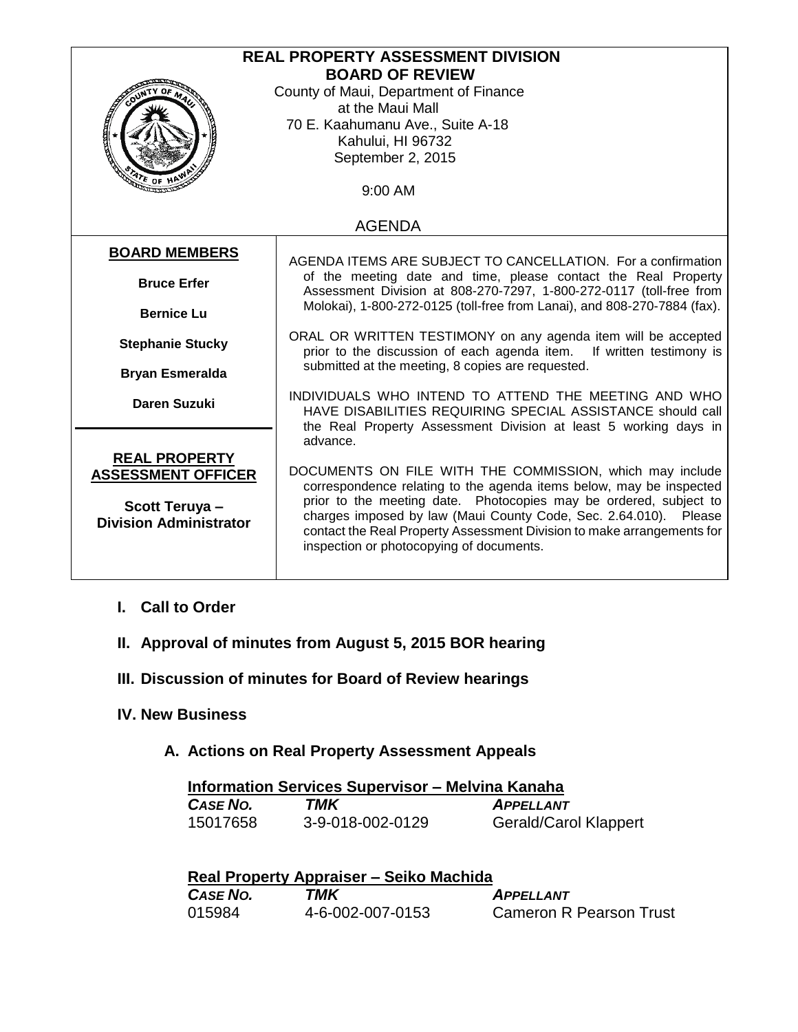| <b>REAL PROPERTY ASSESSMENT DIVISION</b> |                                                                                                                                       |  |
|------------------------------------------|---------------------------------------------------------------------------------------------------------------------------------------|--|
| <b>BOARD OF REVIEW</b>                   |                                                                                                                                       |  |
|                                          | County of Maui, Department of Finance                                                                                                 |  |
|                                          | at the Maui Mall                                                                                                                      |  |
|                                          | 70 E. Kaahumanu Ave., Suite A-18                                                                                                      |  |
|                                          | Kahului, HI 96732                                                                                                                     |  |
|                                          | September 2, 2015                                                                                                                     |  |
| $476$ OF HP                              |                                                                                                                                       |  |
|                                          | 9:00 AM                                                                                                                               |  |
|                                          |                                                                                                                                       |  |
| <b>AGENDA</b>                            |                                                                                                                                       |  |
| <b>BOARD MEMBERS</b>                     |                                                                                                                                       |  |
|                                          | AGENDA ITEMS ARE SUBJECT TO CANCELLATION. For a confirmation                                                                          |  |
| <b>Bruce Erfer</b>                       | of the meeting date and time, please contact the Real Property<br>Assessment Division at 808-270-7297, 1-800-272-0117 (toll-free from |  |
|                                          | Molokai), 1-800-272-0125 (toll-free from Lanai), and 808-270-7884 (fax).                                                              |  |
| <b>Bernice Lu</b>                        |                                                                                                                                       |  |
| <b>Stephanie Stucky</b>                  | ORAL OR WRITTEN TESTIMONY on any agenda item will be accepted                                                                         |  |
|                                          | prior to the discussion of each agenda item.<br>If written testimony is                                                               |  |
| <b>Bryan Esmeralda</b>                   | submitted at the meeting, 8 copies are requested.                                                                                     |  |
|                                          | INDIVIDUALS WHO INTEND TO ATTEND THE MEETING AND WHO                                                                                  |  |
| <b>Daren Suzuki</b>                      | HAVE DISABILITIES REQUIRING SPECIAL ASSISTANCE should call                                                                            |  |
|                                          | the Real Property Assessment Division at least 5 working days in                                                                      |  |
|                                          | advance.                                                                                                                              |  |
| <b>REAL PROPERTY</b>                     |                                                                                                                                       |  |
| <b>ASSESSMENT OFFICER</b>                | DOCUMENTS ON FILE WITH THE COMMISSION, which may include                                                                              |  |
|                                          | correspondence relating to the agenda items below, may be inspected                                                                   |  |
| Scott Teruya-                            | prior to the meeting date. Photocopies may be ordered, subject to                                                                     |  |
| <b>Division Administrator</b>            | charges imposed by law (Maui County Code, Sec. 2.64.010). Please                                                                      |  |
|                                          | contact the Real Property Assessment Division to make arrangements for                                                                |  |
|                                          | inspection or photocopying of documents.                                                                                              |  |
|                                          |                                                                                                                                       |  |

- **I. Call to Order**
- **II. Approval of minutes from August 5, 2015 BOR hearing**
- **III. Discussion of minutes for Board of Review hearings**
- **IV. New Business**
	- **A. Actions on Real Property Assessment Appeals**

| <b>Information Services Supervisor – Melvina Kanaha</b> |                  |                              |
|---------------------------------------------------------|------------------|------------------------------|
| CASE NO.                                                | TMK              | <b>APPELLANT</b>             |
| 15017658                                                | 3-9-018-002-0129 | <b>Gerald/Carol Klappert</b> |

| Real Property Appraiser – Seiko Machida |                  |                                |
|-----------------------------------------|------------------|--------------------------------|
| CASE NO.                                | TMK              | <b>APPELLANT</b>               |
| 015984                                  | 4-6-002-007-0153 | <b>Cameron R Pearson Trust</b> |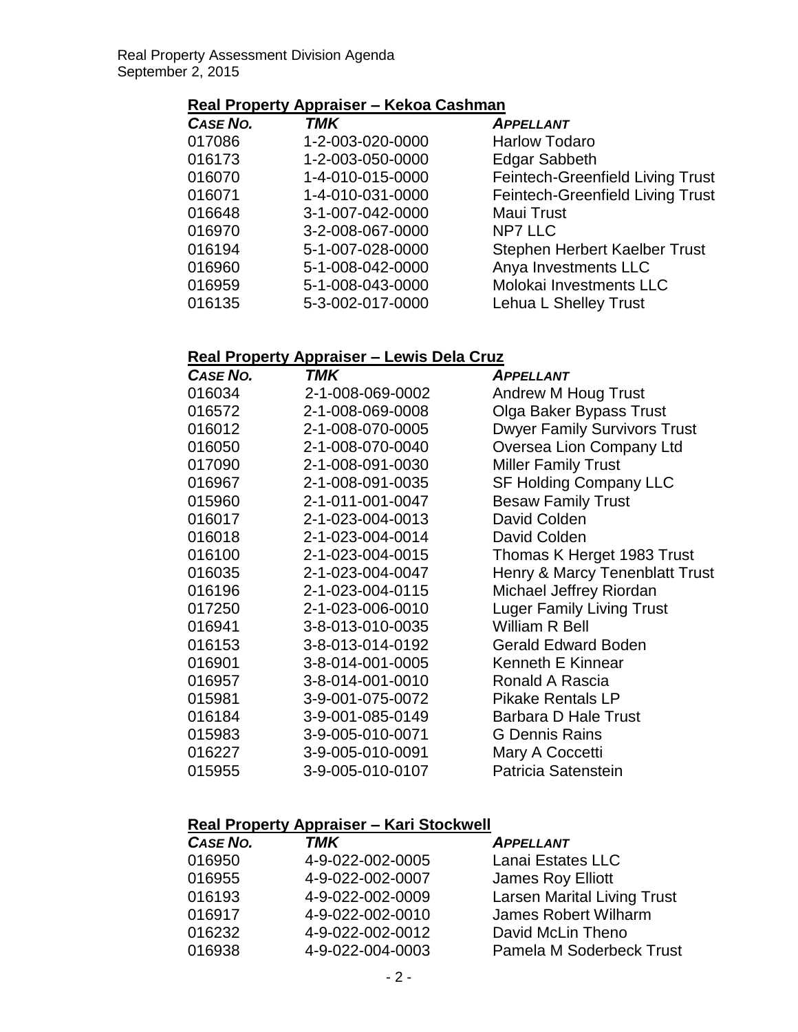## **Real Property Appraiser – Kekoa Cashman**

| <b>CASE NO.</b> | TMK              | <b>APPELLANT</b>                        |
|-----------------|------------------|-----------------------------------------|
| 017086          | 1-2-003-020-0000 | <b>Harlow Todaro</b>                    |
| 016173          | 1-2-003-050-0000 | <b>Edgar Sabbeth</b>                    |
| 016070          | 1-4-010-015-0000 | Feintech-Greenfield Living Trust        |
| 016071          | 1-4-010-031-0000 | <b>Feintech-Greenfield Living Trust</b> |
| 016648          | 3-1-007-042-0000 | <b>Maui Trust</b>                       |
| 016970          | 3-2-008-067-0000 | <b>NP7 LLC</b>                          |
| 016194          | 5-1-007-028-0000 | Stephen Herbert Kaelber Trust           |
| 016960          | 5-1-008-042-0000 | Anya Investments LLC                    |
| 016959          | 5-1-008-043-0000 | Molokai Investments LLC                 |
| 016135          | 5-3-002-017-0000 | Lehua L Shelley Trust                   |
|                 |                  |                                         |

## **Real Property Appraiser – Lewis Dela Cruz**

| <b>CASE NO.</b> | <b>TMK</b>       | <b>APPELLANT</b>                    |
|-----------------|------------------|-------------------------------------|
| 016034          | 2-1-008-069-0002 | Andrew M Houg Trust                 |
| 016572          | 2-1-008-069-0008 | Olga Baker Bypass Trust             |
| 016012          | 2-1-008-070-0005 | <b>Dwyer Family Survivors Trust</b> |
| 016050          | 2-1-008-070-0040 | Oversea Lion Company Ltd            |
| 017090          | 2-1-008-091-0030 | <b>Miller Family Trust</b>          |
| 016967          | 2-1-008-091-0035 | <b>SF Holding Company LLC</b>       |
| 015960          | 2-1-011-001-0047 | <b>Besaw Family Trust</b>           |
| 016017          | 2-1-023-004-0013 | David Colden                        |
| 016018          | 2-1-023-004-0014 | David Colden                        |
| 016100          | 2-1-023-004-0015 | Thomas K Herget 1983 Trust          |
| 016035          | 2-1-023-004-0047 | Henry & Marcy Tenenblatt Trust      |
| 016196          | 2-1-023-004-0115 | Michael Jeffrey Riordan             |
| 017250          | 2-1-023-006-0010 | <b>Luger Family Living Trust</b>    |
| 016941          | 3-8-013-010-0035 | <b>William R Bell</b>               |
| 016153          | 3-8-013-014-0192 | <b>Gerald Edward Boden</b>          |
| 016901          | 3-8-014-001-0005 | <b>Kenneth E Kinnear</b>            |
| 016957          | 3-8-014-001-0010 | Ronald A Rascia                     |
| 015981          | 3-9-001-075-0072 | <b>Pikake Rentals LP</b>            |
| 016184          | 3-9-001-085-0149 | <b>Barbara D Hale Trust</b>         |
| 015983          | 3-9-005-010-0071 | <b>G</b> Dennis Rains               |
| 016227          | 3-9-005-010-0091 | Mary A Coccetti                     |
| 015955          | 3-9-005-010-0107 | Patricia Satenstein                 |

## **Real Property Appraiser – Kari Stockwell**

| CASE NO. | <b>TMK</b>       | <b>APPELLANT</b>                   |
|----------|------------------|------------------------------------|
| 016950   | 4-9-022-002-0005 | Lanai Estates LLC                  |
| 016955   | 4-9-022-002-0007 | <b>James Roy Elliott</b>           |
| 016193   | 4-9-022-002-0009 | <b>Larsen Marital Living Trust</b> |
| 016917   | 4-9-022-002-0010 | James Robert Wilharm               |
| 016232   | 4-9-022-002-0012 | David McLin Theno                  |
| 016938   | 4-9-022-004-0003 | Pamela M Soderbeck Trust           |